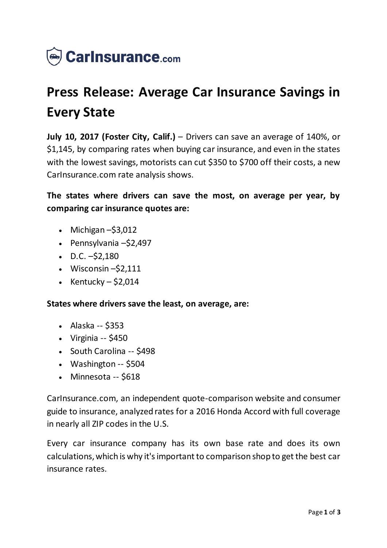

## **Press Release: Average Car Insurance Savings in Every State**

**July 10, 2017 (Foster City, Calif.)** – Drivers can save an average of 140%, or \$1,145, by comparing rates when buying car insurance, and even in the states with the lowest savings, motorists can cut \$350 to \$700 off their costs, a new CarInsurance.com rate analysis shows.

**The states where drivers can save the most, on average per year, by comparing car insurance quotes are:**

- $\bullet$  Michigan  $-\$3,012$
- Pennsylvania –\$2,497
- $\bullet$  D.C.  $-52,180$
- $\bullet$  Wisconsin  $-52,111$
- Kentucky  $$2,014$

**States where drivers save the least, on average, are:**

- Alaska -- \$353
- $\bullet$  Virginia -- \$450
- South Carolina -- \$498
- Washington -- \$504
- Minnesota -- \$618

CarInsurance.com, an independent quote-comparison website and consumer guide to insurance, analyzed rates for a 2016 Honda Accord with full coverage in nearly all ZIP codes in the U.S.

Every car insurance company has its own base rate and does its own calculations, which is why it's important to comparison shop to get the best car insurance rates.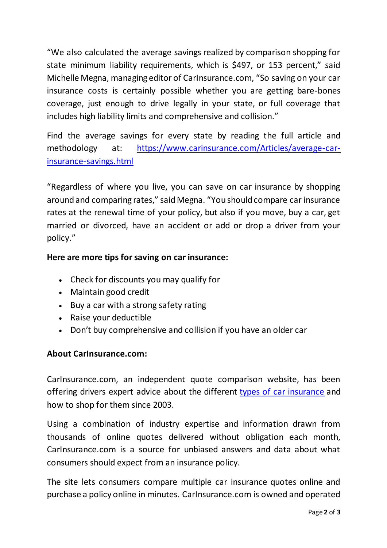"We also calculated the average savings realized by comparison shopping for state minimum liability requirements, which is \$497, or 153 percent," said Michelle Megna, managing editor of CarInsurance.com, "So saving on your car insurance costs is certainly possible whether you are getting bare-bones coverage, just enough to drive legally in your state, or full coverage that includes high liability limits and comprehensive and collision."

Find the average savings for every state by reading the full article and methodology at: [https://www.carinsurance.com/Articles/average-car](https://www.carinsurance.com/Articles/average-car-insurance-savings.html)[insurance-savings.html](https://www.carinsurance.com/Articles/average-car-insurance-savings.html)

"Regardless of where you live, you can save on car insurance by shopping around and comparing rates," said Megna. "You should compare car insurance rates at the renewal time of your policy, but also if you move, buy a car, get married or divorced, have an accident or add or drop a driver from your policy."

## **Here are more tips for saving on car insurance:**

- Check for discounts you may qualify for
- Maintain good credit
- Buy a car with a strong safety rating
- Raise your deductible
- Don't buy comprehensive and collision if you have an older car

## **About CarInsurance.com:**

CarInsurance.com, an independent quote comparison website, has been offering drivers expert advice about the different [types of car insurance](https://www.carinsurance.com/types-of-car-insurance/) and how to shop for them since 2003.

Using a combination of industry expertise and information drawn from thousands of online quotes delivered without obligation each month, CarInsurance.com is a source for unbiased answers and data about what consumers should expect from an insurance policy.

The site lets consumers compare multiple car insurance quotes online and purchase a policy online in minutes. CarInsurance.com is owned and operated